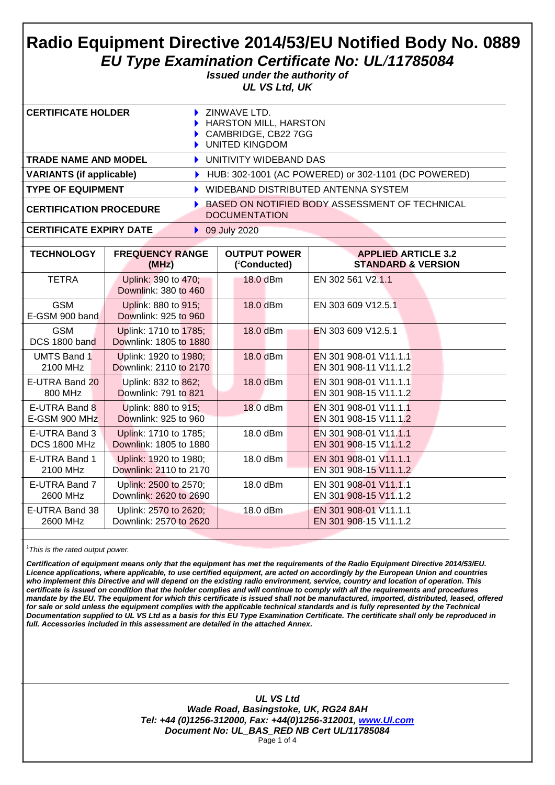# **Radio Equipment Directive 2014/53/EU Notified Body No. 0889** *EU Type Examination Certificate No: UL/11785084*

*Issued under the authority of UL VS Ltd, UK*

| <b>CERTIFICATE HOLDER</b>       | $\blacktriangleright$ ZINWAVE LTD.<br>HARSTON MILL, HARSTON<br>CAMBRIDGE, CB22 7GG<br>UNITED KINGDOM |
|---------------------------------|------------------------------------------------------------------------------------------------------|
| <b>TRADE NAME AND MODEL</b>     | UNITIVITY WIDEBAND DAS                                                                               |
| <b>VARIANTS (if applicable)</b> | HUB: 302-1001 (AC POWERED) or 302-1101 (DC POWERED)                                                  |
| <b>TYPE OF EQUIPMENT</b>        | WIDEBAND DISTRIBUTED ANTENNA SYSTEM                                                                  |
| <b>CERTIFICATION PROCEDURE</b>  | BASED ON NOTIFIED BODY ASSESSMENT OF TECHNICAL<br><b>DOCUMENTATION</b>                               |

### **CERTIFICATE EXPIRY DATE** 8 09 July 2020

| <b>TECHNOLOGY</b>            | <b>FREQUENCY RANGE</b>                          | <b>OUTPUT POWER</b> | <b>APPLIED ARTICLE 3.2</b>    |
|------------------------------|-------------------------------------------------|---------------------|-------------------------------|
|                              | (MHz)                                           | ('Conducted)        | <b>STANDARD &amp; VERSION</b> |
| <b>TETRA</b>                 | Uplink: 390 to 470;<br>Downlink: 380 to 460     | 18.0 dBm            | EN 302 561 V2.1.1             |
| <b>GSM</b><br>E-GSM 900 band | Uplink: 880 to 915;<br>Downlink: 925 to 960     | 18.0 dBm            | EN 303 609 V12.5.1            |
| <b>GSM</b><br>DCS 1800 band  | Uplink: 1710 to 1785;<br>Downlink: 1805 to 1880 | 18.0 dBm            | EN 303 609 V12.5.1            |
| <b>UMTS Band 1</b>           | Uplink: 1920 to 1980;                           | 18.0 dBm            | EN 301 908-01 V11.1.1         |
| 2100 MHz                     | Downlink: 2110 to 2170                          |                     | EN 301 908-11 V11.1.2         |
| E-UTRA Band 20               | Uplink: 832 to 862;                             | 18.0 dBm            | EN 301 908-01 V11.1.1         |
| 800 MHz                      | Downlink: 791 to 821                            |                     | EN 301 908-15 V11.1.2         |
| E-UTRA Band 8                | Uplink: 880 to 915;                             | 18.0 dBm            | EN 301 908-01 V11.1.1         |
| E-GSM 900 MHz                | Downlink: 925 to 960                            |                     | EN 301 908-15 V11.1.2         |
| E-UTRA Band 3                | Uplink: 1710 to 1785;                           | 18.0 dBm            | EN 301 908-01 V11.1.1         |
| <b>DCS 1800 MHz</b>          | Downlink: 1805 to 1880                          |                     | EN 301 908-15 V11.1.2         |
| E-UTRA Band 1                | Uplink: 1920 to 1980;                           | 18.0 dBm            | EN 301 908-01 V11.1.1         |
| 2100 MHz                     | Downlink: 2110 to 2170                          |                     | EN 301 908-15 V11.1.2         |
| E-UTRA Band 7                | Uplink: 2500 to 2570;                           | 18.0 dBm            | EN 301 908-01 V11.1.1         |
| 2600 MHz                     | Downlink: 2620 to 2690                          |                     | EN 301 908-15 V11.1.2         |
| E-UTRA Band 38               | Uplink: 2570 to 2620;                           | 18.0 dBm            | EN 301 908-01 V11.1.1         |
| 2600 MHz                     | Downlink: 2570 to 2620                          |                     | EN 301 908-15 V11.1.2         |
|                              |                                                 |                     |                               |

*1 This is the rated output power.*

*Certification of equipment means only that the equipment has met the requirements of the Radio Equipment Directive 2014/53/EU. Licence applications, where applicable, to use certified equipment, are acted on accordingly by the European Union and countries who implement this Directive and will depend on the existing radio environment, service, country and location of operation. This certificate is issued on condition that the holder complies and will continue to comply with all the requirements and procedures mandate by the EU. The equipment for which this certificate is issued shall not be manufactured, imported, distributed, leased, offered for sale or sold unless the equipment complies with the applicable technical standards and is fully represented by the Technical Documentation supplied to UL VS Ltd as a basis for this EU Type Examination Certificate. The certificate shall only be reproduced in full. Accessories included in this assessment are detailed in the attached Annex.*

> *UL VS Ltd Wade Road, Basingstoke, UK, RG24 8AH Tel: +44 (0)1256-312000, Fax: +44(0)1256-312001, [www.Ul.com](http://www.ul.com/) Document No: UL\_BAS\_RED NB Cert UL/11785084* Page 1 of 4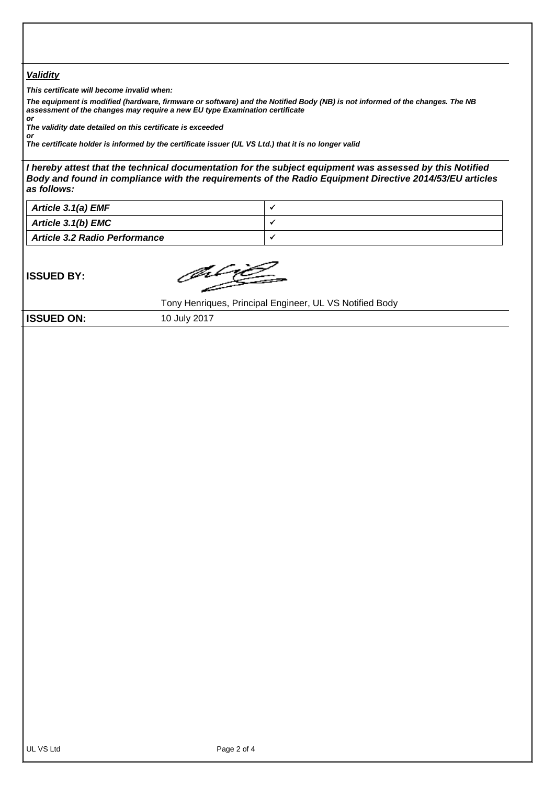### *Validity*

*This certificate will become invalid when:*

*The equipment is modified (hardware, firmware or software) and the Notified Body (NB) is not informed of the changes. The NB assessment of the changes may require a new EU type Examination certificate or*

*The validity date detailed on this certificate is exceeded*

*or The certificate holder is informed by the certificate issuer (UL VS Ltd.) that it is no longer valid*

*I hereby attest that the technical documentation for the subject equipment was assessed by this Notified Body and found in compliance with the requirements of the Radio Equipment Directive 2014/53/EU articles as follows:*

| Article 3.1(a) EMF                   |  |
|--------------------------------------|--|
| <b>Article 3.1(b) EMC</b>            |  |
| <b>Article 3.2 Radio Performance</b> |  |

**ISSUED BY:**

Jilij

Tony Henriques, Principal Engineer, UL VS Notified Body

**ISSUED ON:** 10 July 2017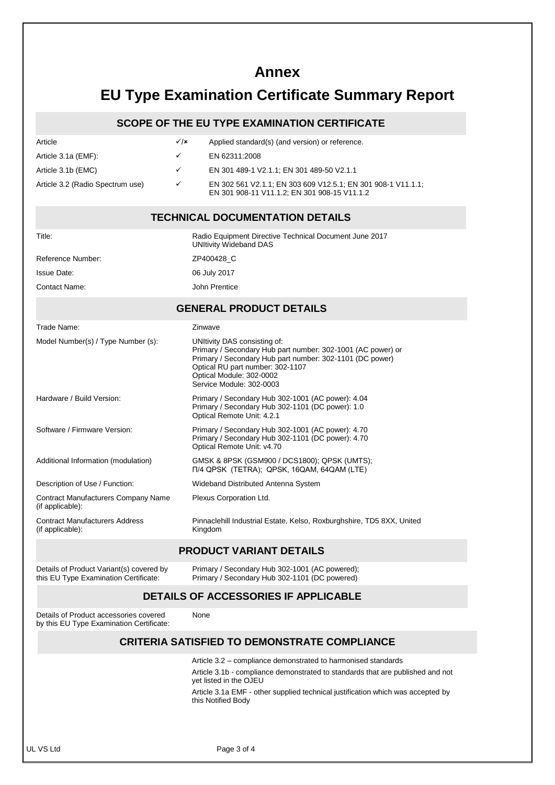# **Annex**

# **EU Type Examination Certificate Summary Report**

## **SCOPE OF THE EU TYPE EXAMINATION CERTIFICATE**

| Article                          | $\sqrt{x}$   | Applied standard(s) (and version) or reference.                                                              |
|----------------------------------|--------------|--------------------------------------------------------------------------------------------------------------|
| Article 3.1a (EMF):              | $\checkmark$ | EN 62311:2008                                                                                                |
| Article 3.1b (EMC)               | $\checkmark$ | EN 301 489-1 V2.1.1: EN 301 489-50 V2.1.1                                                                    |
| Article 3.2 (Radio Spectrum use) | $\checkmark$ | EN 302 561 V2.1.1; EN 303 609 V12.5.1; EN 301 908-1 V11.1.1;<br>EN 301 908-11 V11.1.2; EN 301 908-15 V11.1.2 |

#### **TECHNICAL DOCUMENTATION DETAILS** Title: Radio Equipment Directive Technical Document June 2017 UNItivity Wideband DAS Reference Number: <br>
ZP400428 C Issue Date: 06 July 2017 Contact Name: John Prentice **GENERAL PRODUCT DETAILS** Trade Name: Trade Name: Zinwave Model Number(s) / Type Number (s): UNItivity DAS consisting of: Primary / Secondary Hub part number: 302-1001 (AC power) or Primary / Secondary Hub part number: 302-1101 (DC power) Optical RU part number: 302-1107 Optical Module: 302-0002 Service Module: 302-0003 Hardware / Build Version: Primary / Secondary Hub 302-1001 (AC power): 4.04 Primary / Secondary Hub 302-1101 (DC power): 1.0 Optical Remote Unit: 4.2.1 Software / Firmware Version: Primary / Secondary Hub 302-1001 (AC power): 4.70 Primary / Secondary Hub 302-1101 (DC power): 4.70 Optical Remote Unit: v4.70 Additional Information (modulation) GMSK & 8PSK (GSM900 / DCS1800); QPSK (UMTS); П/4 QPSK (TETRA); QPSK, 16QAM, 64QAM (LTE) Description of Use / Function: Wideband Distributed Antenna System Contract Manufacturers Company Name (if applicable): Plexus Corporation Ltd. Contract Manufacturers Address (if applicable): Pinnaclehill Industrial Estate, Kelso, Roxburghshire, TD5 8XX, United Kingdom

### **PRODUCT VARIANT DETAILS**

Details of Product Variant(s) covered by this EU Type Examination Certificate:

Primary / Secondary Hub 302-1001 (AC powered); Primary / Secondary Hub 302-1101 (DC powered)

# **DETAILS OF ACCESSORIES IF APPLICABLE**

None

Details of Product accessories covered by this EU Type Examination Certificate:

## **CRITERIA SATISFIED TO DEMONSTRATE COMPLIANCE**

Article 3.2 – compliance demonstrated to harmonised standards Article 3.1b - compliance demonstrated to standards that are published and not yet listed in the OJEU Article 3.1a EMF - other supplied technical justification which was accepted by this Notified Body